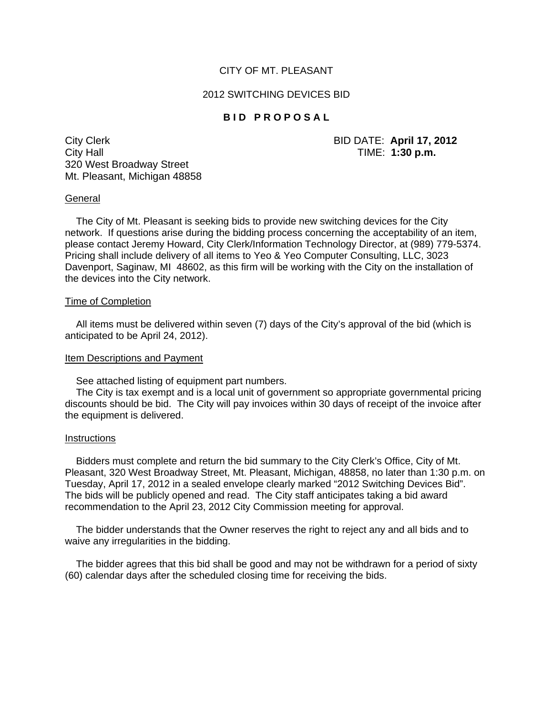## CITY OF MT. PLEASANT

### 2012 SWITCHING DEVICES BID

# **BID PROPOSAL**

City Clerk BID DATE: **April 17, 2012** City Hall TIME: **1:30 p.m.** 320 West Broadway Street Mt. Pleasant, Michigan 48858

### **General**

 The City of Mt. Pleasant is seeking bids to provide new switching devices for the City network. If questions arise during the bidding process concerning the acceptability of an item, please contact Jeremy Howard, City Clerk/Information Technology Director, at (989) 779-5374. Pricing shall include delivery of all items to Yeo & Yeo Computer Consulting, LLC, 3023 Davenport, Saginaw, MI 48602, as this firm will be working with the City on the installation of the devices into the City network.

#### Time of Completion

 All items must be delivered within seven (7) days of the City's approval of the bid (which is anticipated to be April 24, 2012).

### Item Descriptions and Payment

See attached listing of equipment part numbers.

 The City is tax exempt and is a local unit of government so appropriate governmental pricing discounts should be bid. The City will pay invoices within 30 days of receipt of the invoice after the equipment is delivered.

#### **Instructions**

 Bidders must complete and return the bid summary to the City Clerk's Office, City of Mt. Pleasant, 320 West Broadway Street, Mt. Pleasant, Michigan, 48858, no later than 1:30 p.m. on Tuesday, April 17, 2012 in a sealed envelope clearly marked "2012 Switching Devices Bid". The bids will be publicly opened and read. The City staff anticipates taking a bid award recommendation to the April 23, 2012 City Commission meeting for approval.

 The bidder understands that the Owner reserves the right to reject any and all bids and to waive any irregularities in the bidding.

 The bidder agrees that this bid shall be good and may not be withdrawn for a period of sixty (60) calendar days after the scheduled closing time for receiving the bids.